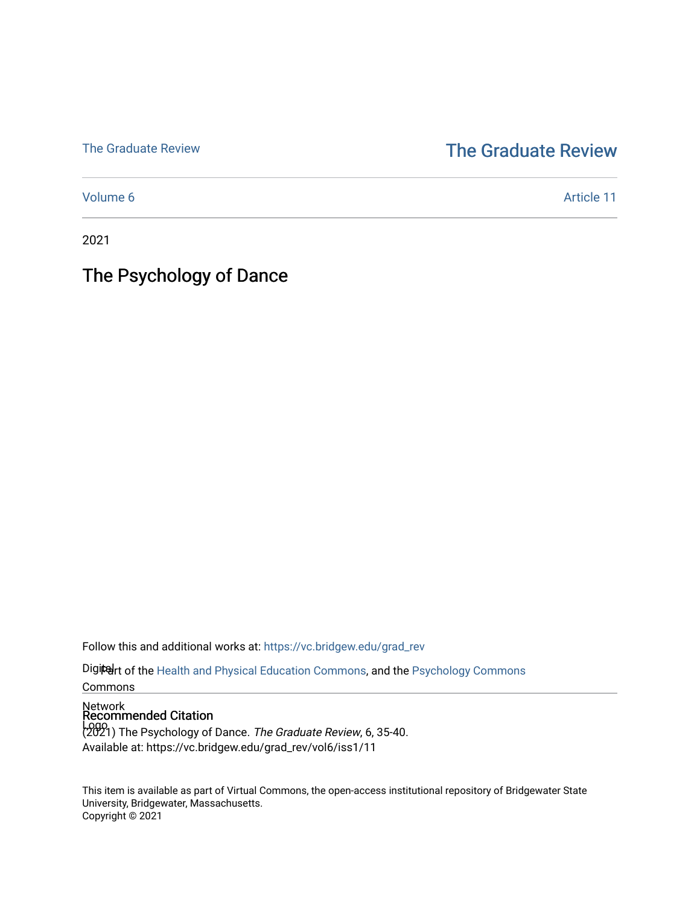## [The Graduate Review](http://vc.bridgew.edu/) The Graduate Review

[Volume 6](https://vc.bridgew.edu/grad_rev/vol6) Article 11

2021

# The Psychology of Dance

Follow this and additional works at: [https://vc.bridgew.edu/grad\\_rev](https://vc.bridgew.edu/grad_rev?utm_source=vc.bridgew.edu%2Fgrad_rev%2Fvol6%2Fiss1%2F11&utm_medium=PDF&utm_campaign=PDFCoverPages) 

Digiteart of the [Health and Physical Education Commons](http://network.bepress.com/hgg/discipline/1327?utm_source=vc.bridgew.edu%2Fgrad_rev%2Fvol6%2Fiss1%2F11&utm_medium=PDF&utm_campaign=PDFCoverPages), and the [Psychology Commons](http://network.bepress.com/hgg/discipline/404?utm_source=vc.bridgew.edu%2Fgrad_rev%2Fvol6%2Fiss1%2F11&utm_medium=PDF&utm_campaign=PDFCoverPages)

Commons

# Network Recommended Citation

Logo<br>(2021) The Psychology of Dance. *The Graduate Review*, 6, 35-40. Available at: https://vc.bridgew.edu/grad\_rev/vol6/iss1/11

This item is available as part of Virtual Commons, the open-access institutional repository of Bridgewater State University, Bridgewater, Massachusetts. Copyright © 2021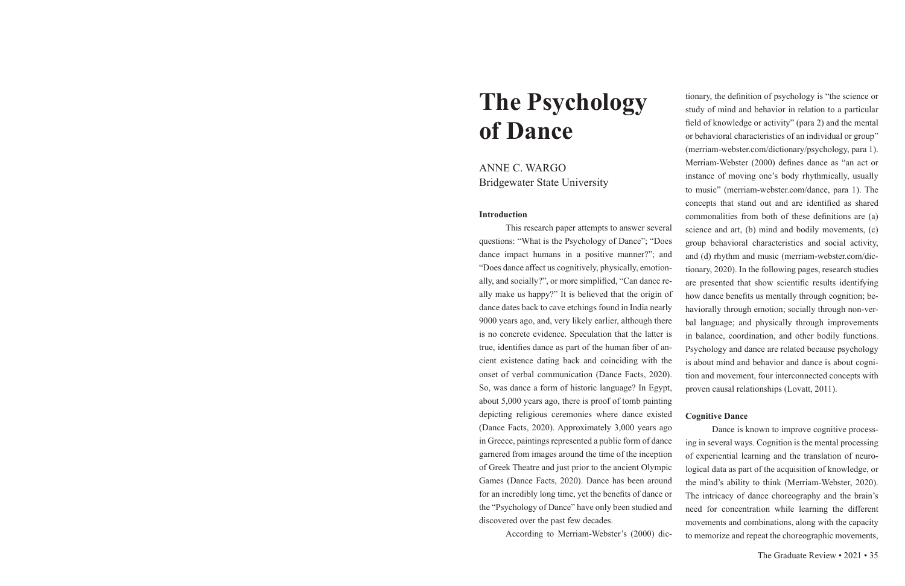# **The Psychology of Dance**

ANNE C. WARGO Bridgewater State University

#### **Introduction**

This research paper attempts to answer several questions: "What is the Psychology of Dance"; "Does dance impact humans in a positive manner?"; and "Does dance affect us cognitively, physically, emotionally, and socially?", or more simplified, "Can dance really make us happy?" It is believed that the origin of dance dates back to cave etchings found in India nearly 9000 years ago, and, very likely earlier, although there is no concrete evidence. Speculation that the latter is true, identifies dance as part of the human fiber of ancient existence dating back and coinciding with the onset of verbal communication (Dance Facts, 2020). So, was dance a form of historic language? In Egypt, about 5,000 years ago, there is proof of tomb painting depicting religious ceremonies where dance existed (Dance Facts, 2020). Approximately 3,000 years ago in Greece, paintings represented a public form of dance garnered from images around the time of the inception of Greek Theatre and just prior to the ancient Olympic Games (Dance Facts, 2020). Dance has been around for an incredibly long time, yet the benefits of dance or the "Psychology of Dance" have only been studied and discovered over the past few decades. According to Merriam-Webster's (2000) dicscience and art, (b) mind and bodily movements, (c) group behavioral characteristics and social activity, and (d) rhythm and music (merriam-webster.com/dictionary, 2020). In the following pages, research studies are presented that show scientific results identifying how dance benefits us mentally through cognition; behaviorally through emotion; socially through non-verbal language; and physically through improvements in balance, coordination, and other bodily functions. Psychology and dance are related because psychology is about mind and behavior and dance is about cognition and movement, four interconnected concepts with proven causal relationships (Lovatt, 2011). **Cognitive Dance** Dance is known to improve cognitive processing in several ways. Cognition is the mental processing of experiential learning and the translation of neurological data as part of the acquisition of knowledge, or the mind's ability to think (Merriam-Webster, 2020). The intricacy of dance choreography and the brain's need for concentration while learning the different movements and combinations, along with the capacity to memorize and repeat the choreographic movements,

tionary, the definition of psychology is "the science or study of mind and behavior in relation to a particular field of knowledge or activity" (para 2) and the mental or behavioral characteristics of an individual or group" (merriam-webster.com/dictionary/psychology, para 1). Merriam-Webster (2000) defines dance as "an act or instance of moving one's body rhythmically, usually to music" (merriam-webster.com/dance, para 1). The concepts that stand out and are identified as shared commonalities from both of these definitions are (a)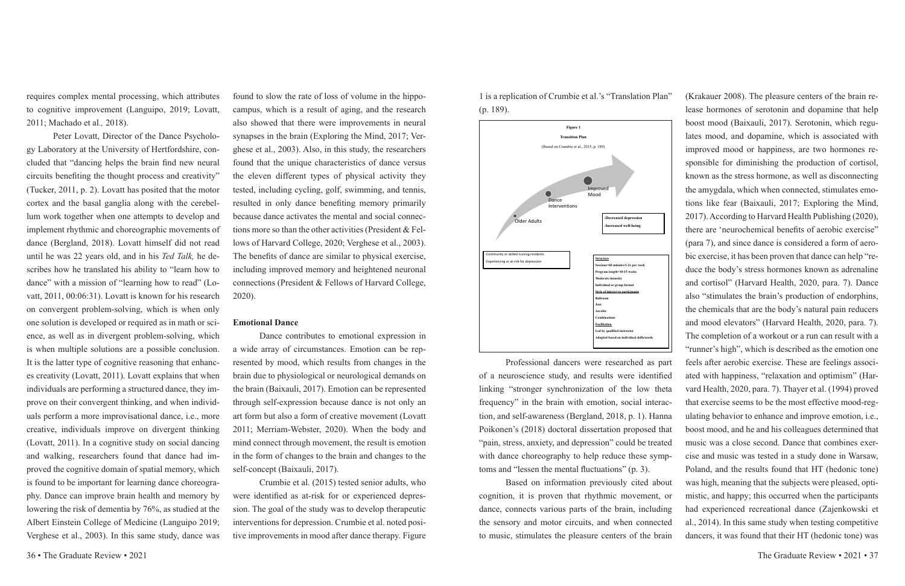requires complex mental processing, which attributes to cognitive improvement (Languipo, 2019; Lovatt, 2011; Machado et al*.,* 2018).

Peter Lovatt, Director of the Dance Psychology Laboratory at the University of Hertfordshire, concluded that "dancing helps the brain find new neural circuits benefiting the thought process and creativity" (Tucker, 2011, p. 2). Lovatt has posited that the motor cortex and the basal ganglia along with the cerebellum work together when one attempts to develop and implement rhythmic and choreographic movements of dance (Bergland, 2018). Lovatt himself did not read until he was 22 years old, and in his *Ted Talk,* he describes how he translated his ability to "learn how to dance" with a mission of "learning how to read" (Lovatt, 2011, 00:06:31). Lovatt is known for his research on convergent problem-solving, which is when only one solution is developed or required as in math or science, as well as in divergent problem-solving, which is when multiple solutions are a possible conclusion. It is the latter type of cognitive reasoning that enhances creativity (Lovatt, 2011). Lovatt explains that when individuals are performing a structured dance, they improve on their convergent thinking, and when individuals perform a more improvisational dance, i.e., more creative, individuals improve on divergent thinking (Lovatt, 2011). In a cognitive study on social dancing and walking, researchers found that dance had improved the cognitive domain of spatial memory, which is found to be important for learning dance choreography. Dance can improve brain health and memory by lowering the risk of dementia by 76%, as studied at the Albert Einstein College of Medicine (Languipo 2019; Verghese et al., 2003). In this same study, dance was

found to slow the rate of loss of volume in the hippocampus, which is a result of aging, and the research also showed that there were improvements in neural synapses in the brain (Exploring the Mind, 2017; Verghese et al., 2003). Also, in this study, the researchers found that the unique characteristics of dance versus the eleven different types of physical activity they tested, including cycling, golf, swimming, and tennis, resulted in only dance benefiting memory primarily because dance activates the mental and social connections more so than the other activities (President & Fellows of Harvard College, 2020; Verghese et al., 2003). The benefits of dance are similar to physical exercise, including improved memory and heightened neuronal connections (President & Fellows of Harvard College, 2020).

## **Emotional Dance**

Dance contributes to emotional expression in a wide array of circumstances. Emotion can be represented by mood, which results from changes in the brain due to physiological or neurological demands on the brain (Baixauli, 2017). Emotion can be represented through self-expression because dance is not only an art form but also a form of creative movement (Lovatt 2011; Merriam-Webster, 2020). When the body and mind connect through movement, the result is emotion in the form of changes to the brain and changes to the self-concept (Baixauli, 2017).

Crumbie et al. (2015) tested senior adults, who were identified as at-risk for or experienced depression. The goal of the study was to develop therapeutic interventions for depression. Crumbie et al. noted positive improvements in mood after dance therapy. Figure

1 is a replication of Crumbie et al.'s "Translation Plan" (p. 189).



Professional dancers were researched as part of a neuroscience study, and results were identified linking "stronger synchronization of the low theta frequency" in the brain with emotion, social interaction, and self-awareness (Bergland, 2018, p. 1). Hanna Poikonen's (2018) doctoral dissertation proposed that "pain, stress, anxiety, and depression" could be treated with dance choreography to help reduce these symptoms and "lessen the mental fluctuations" (p. 3).

Based on information previously cited about cognition, it is proven that rhythmic movement, or dance, connects various parts of the brain, including the sensory and motor circuits, and when connected to music, stimulates the pleasure centers of the brain

(Krakauer 2008). The pleasure centers of the brain release hormones of serotonin and dopamine that help boost mood (Baixauli, 2017). Serotonin, which regulates mood, and dopamine, which is associated with improved mood or happiness, are two hormones responsible for diminishing the production of cortisol, known as the stress hormone, as well as disconnecting the amygdala, which when connected, stimulates emotions like fear (Baixauli, 2017; Exploring the Mind, 2017). According to Harvard Health Publishing (2020), there are 'neurochemical benefits of aerobic exercise" (para 7), and since dance is considered a form of aerobic exercise, it has been proven that dance can help "reduce the body's stress hormones known as adrenaline and cortisol" (Harvard Health, 2020, para. 7). Dance also "stimulates the brain's production of endorphins, the chemicals that are the body's natural pain reducers and mood elevators" (Harvard Health, 2020, para. 7). The completion of a workout or a run can result with a "runner's high", which is described as the emotion one feels after aerobic exercise. These are feelings associated with happiness, "relaxation and optimism" (Harvard Health, 2020, para. 7). Thayer et al. (1994) proved that exercise seems to be the most effective mood-regulating behavior to enhance and improve emotion, i.e., boost mood, and he and his colleagues determined that music was a close second. Dance that combines exercise and music was tested in a study done in Warsaw, Poland, and the results found that HT (hedonic tone) was high, meaning that the subjects were pleased, optimistic, and happy; this occurred when the participants had experienced recreational dance (Zajenkowski et al., 2014). In this same study when testing competitive dancers, it was found that their HT (hedonic tone) was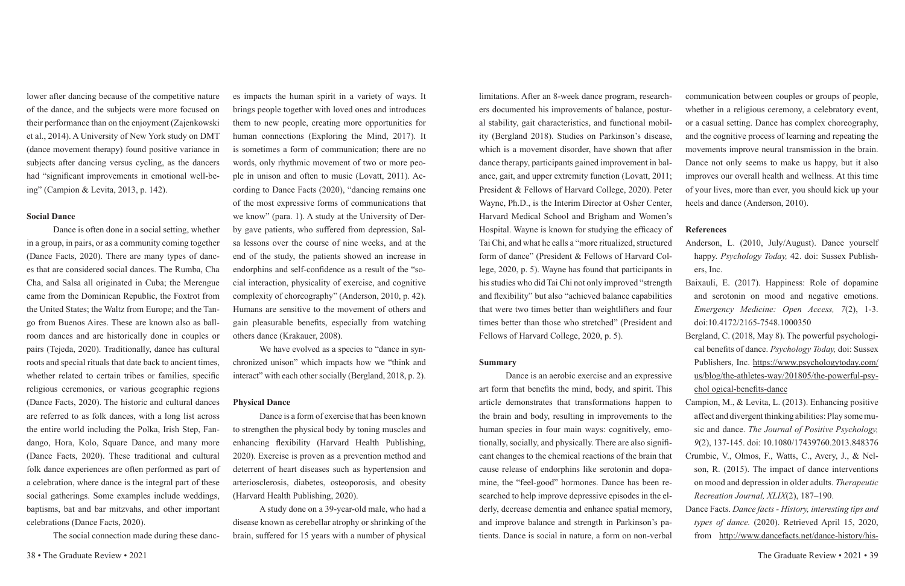lower after dancing because of the competitive nature of the dance, and the subjects were more focused on their performance than on the enjoyment (Zajenkowski et al., 2014). A University of New York study on DMT (dance movement therapy) found positive variance in subjects after dancing versus cycling, as the dancers had "significant improvements in emotional well-being" (Campion & Levita, 2013, p. 142).

## **Social Dance**

Dance is often done in a social setting, whether in a group, in pairs, or as a community coming together (Dance Facts, 2020). There are many types of dances that are considered social dances. The Rumba, Cha Cha, and Salsa all originated in Cuba; the Merengue came from the Dominican Republic, the Foxtrot from the United States; the Waltz from Europe; and the Tango from Buenos Aires. These are known also as ballroom dances and are historically done in couples or pairs (Tejeda, 2020). Traditionally, dance has cultural roots and special rituals that date back to ancient times, whether related to certain tribes or families, specific religious ceremonies, or various geographic regions (Dance Facts, 2020). The historic and cultural dances are referred to as folk dances, with a long list across the entire world including the Polka, Irish Step, Fandango, Hora, Kolo, Square Dance, and many more (Dance Facts, 2020). These traditional and cultural folk dance experiences are often performed as part of a celebration, where dance is the integral part of these social gatherings. Some examples include weddings, baptisms, bat and bar mitzvahs, and other important celebrations (Dance Facts, 2020).

The social connection made during these danc-

es impacts the human spirit in a variety of ways. It brings people together with loved ones and introduces them to new people, creating more opportunities for human connections (Exploring the Mind, 2017). It is sometimes a form of communication; there are no words, only rhythmic movement of two or more people in unison and often to music (Lovatt, 2011). According to Dance Facts (2020), "dancing remains one of the most expressive forms of communications that we know" (para. 1). A study at the University of Derby gave patients, who suffered from depression, Salsa lessons over the course of nine weeks, and at the end of the study, the patients showed an increase in endorphins and self-confidence as a result of the "social interaction, physicality of exercise, and cognitive complexity of choreography" (Anderson, 2010, p. 42). Humans are sensitive to the movement of others and gain pleasurable benefits, especially from watching others dance (Krakauer, 2008).

We have evolved as a species to "dance in synchronized unison" which impacts how we "think and interact" with each other socially (Bergland, 2018, p. 2).

### **Physical Dance**

Dance is a form of exercise that has been known to strengthen the physical body by toning muscles and enhancing flexibility (Harvard Health Publishing, 2020). Exercise is proven as a prevention method and deterrent of heart diseases such as hypertension and arteriosclerosis, diabetes, osteoporosis, and obesity (Harvard Health Publishing, 2020).

A study done on a 39-year-old male, who had a disease known as cerebellar atrophy or shrinking of the brain, suffered for 15 years with a number of physical

#### **Summary**

limitations. After an 8-week dance program, researchers documented his improvements of balance, postural stability, gait characteristics, and functional mobility (Bergland 2018). Studies on Parkinson's disease, which is a movement disorder, have shown that after dance therapy, participants gained improvement in balance, gait, and upper extremity function (Lovatt, 2011; President & Fellows of Harvard College, 2020). Peter Wayne, Ph.D., is the Interim Director at Osher Center, Harvard Medical School and Brigham and Women's Hospital. Wayne is known for studying the efficacy of Tai Chi, and what he calls a "more ritualized, structured form of dance" (President & Fellows of Harvard College, 2020, p. 5). Wayne has found that participants in his studies who did Tai Chi not only improved "strength and flexibility" but also "achieved balance capabilities that were two times better than weightlifters and four times better than those who stretched" (President and Fellows of Harvard College, 2020, p. 5). communication between couples or groups of people, whether in a religious ceremony, a celebratory event, or a casual setting. Dance has complex choreography, and the cognitive process of learning and repeating the movements improve neural transmission in the brain. Dance not only seems to make us happy, but it also improves our overall health and wellness. At this time of your lives, more than ever, you should kick up your heels and dance (Anderson, 2010). **References** ers, Inc. and serotonin on mood and negative emotions. *Emergency Medicine: Open Access, 7*(2), 1-3. doi:10.4172/2165-7548.1000350

Dance is an aerobic exercise and an expressive art form that benefits the mind, body, and spirit. This article demonstrates that transformations happen to the brain and body, resulting in improvements to the human species in four main ways: cognitively, emotionally, socially, and physically. There are also significant changes to the chemical reactions of the brain that cause release of endorphins like serotonin and dopamine, the "feel-good" hormones. Dance has been researched to help improve depressive episodes in the elderly, decrease dementia and enhance spatial memory, and improve balance and strength in Parkinson's patients. Dance is social in nature, a form on non-verbal

- Anderson, L. (2010, July/August). Dance yourself happy. *Psychology Today,* 42. doi: Sussex Publish-
- Baixauli, E. (2017). Happiness: Role of dopamine
- Bergland, C. (2018, May 8). The powerful psychological benefits of dance. *Psychology Today,* doi: Sussex Publishers, Inc. https://www.psychologytoday.com/ us/blog/the-athletes-way/201805/the-powerful-psychol ogical-benefits-dance
- Campion, M., & Levita, L. (2013). Enhancing positive affect and divergent thinking abilities: Play some music and dance. *The Journal of Positive Psychology,*
- *9*(2), 137-145. doi: 10.1080/17439760.2013.848376 Crumbie, V., Olmos, F., Watts, C., Avery, J., & Nelson, R. (2015). The impact of dance interventions on mood and depression in older adults. *Therapeutic Recreation Journal, XLIX*(2), 187–190.
- Dance Facts. *Dance facts History, interesting tips and types of dance.* (2020). Retrieved April 15, 2020, from http://www.dancefacts.net/dance-history/his-